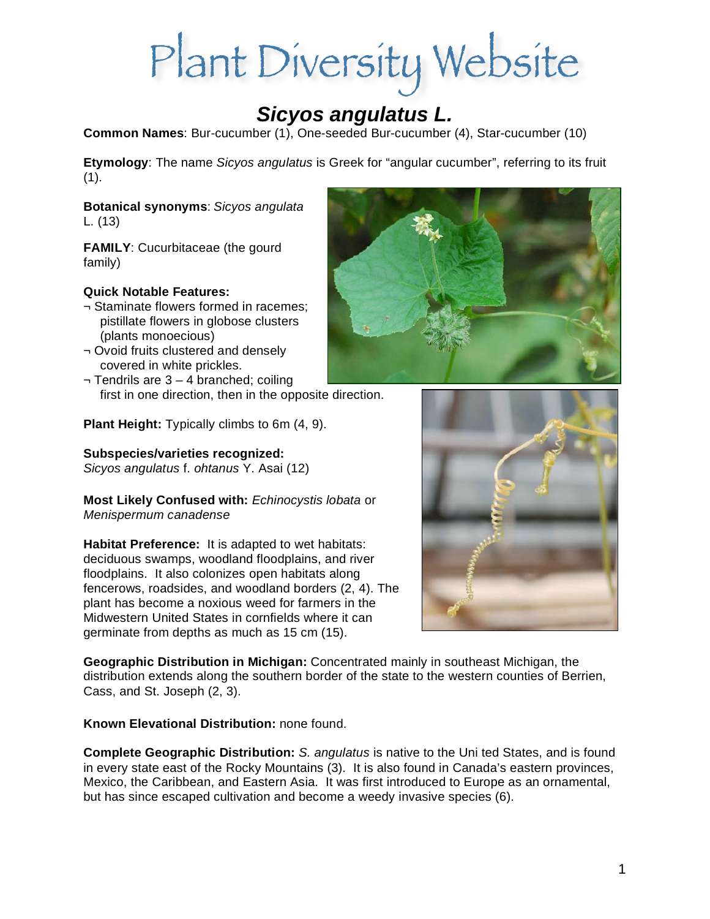# Plant Diversity Website

## *Sicyos angulatus L.*

**Common Names**: Bur-cucumber (1), One-seeded Bur-cucumber (4), Star-cucumber (10)

**Etymology**: The name *Sicyos angulatus* is Greek for "angular cucumber", referring to its fruit  $(1).$ 

**Botanical synonyms**: *Sicyos angulata*  L. (13)

**FAMILY**: Cucurbitaceae (the gourd family)

#### **Quick Notable Features:**

- ¬ Staminate flowers formed in racemes; pistillate flowers in globose clusters (plants monoecious)
- ¬ Ovoid fruits clustered and densely covered in white prickles.
- ¬ Tendrils are 3 4 branched; coiling first in one direction, then in the opposite direction.

**Plant Height:** Typically climbs to 6m (4, 9).

#### **Subspecies/varieties recognized:**

*Sicyos angulatus* f. *ohtanus* Y. Asai (12)

**Most Likely Confused with:** *Echinocystis lobata* or *Menispermum canadense*

**Habitat Preference:** It is adapted to wet habitats: deciduous swamps, woodland floodplains, and river floodplains. It also colonizes open habitats along fencerows, roadsides, and woodland borders (2, 4). The plant has become a noxious weed for farmers in the Midwestern United States in cornfields where it can germinate from depths as much as 15 cm (15).

**Geographic Distribution in Michigan:** Concentrated mainly in southeast Michigan, the distribution extends along the southern border of the state to the western counties of Berrien, Cass, and St. Joseph (2, 3).

#### **Known Elevational Distribution:** none found.

**Complete Geographic Distribution:** *S. angulatus* is native to the Uni ted States, and is found in every state east of the Rocky Mountains (3). It is also found in Canada's eastern provinces, Mexico, the Caribbean, and Eastern Asia. It was first introduced to Europe as an ornamental, but has since escaped cultivation and become a weedy invasive species (6).



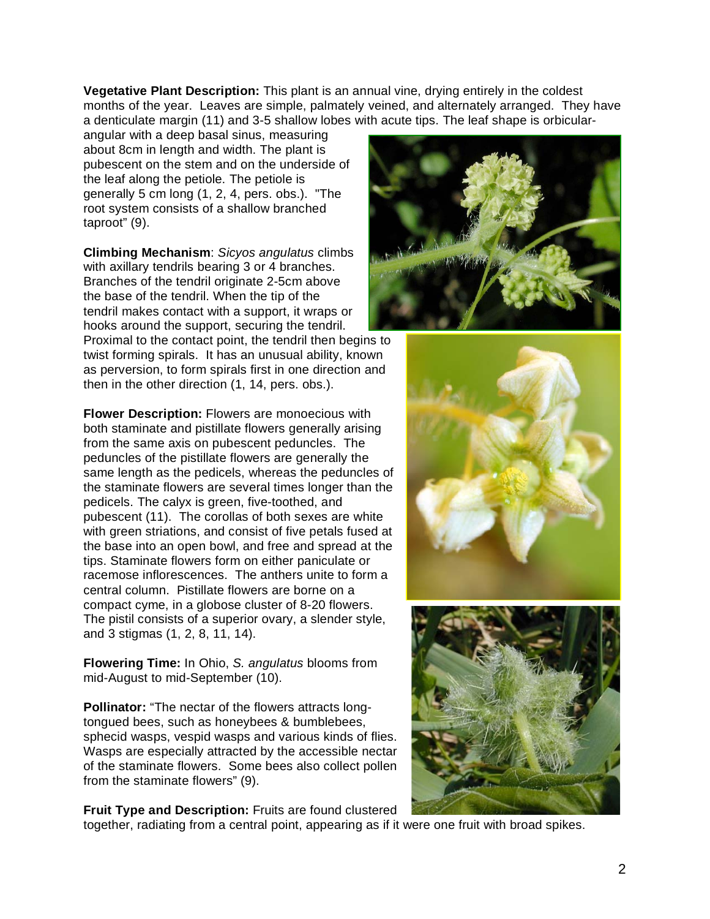**Vegetative Plant Description:** This plant is an annual vine, drying entirely in the coldest months of the year.Leaves are simple, palmately veined, and alternately arranged. They have a denticulate margin (11) and 3-5 shallow lobes with acute tips. The leaf shape is orbicular-

angular with a deep basal sinus, measuring about 8cm in length and width. The plant is pubescent on the stem and on the underside of the leaf along the petiole. The petiole is generally 5 cm long (1, 2, 4, pers. obs.). "The root system consists of a shallow branched taproot" (9).

**Climbing Mechanism**: *Sicyos angulatus* climbs with axillary tendrils bearing 3 or 4 branches. Branches of the tendril originate 2-5cm above the base of the tendril. When the tip of the tendril makes contact with a support, it wraps or hooks around the support, securing the tendril.

Proximal to the contact point, the tendril then begins to twist forming spirals. It has an unusual ability, known as perversion, to form spirals first in one direction and then in the other direction (1, 14, pers. obs.).

**Flower Description:** Flowers are monoecious with both staminate and pistillate flowers generally arising from the same axis on pubescent peduncles. The peduncles of the pistillate flowers are generally the same length as the pedicels, whereas the peduncles of the staminate flowers are several times longer than the pedicels. The calyx is green, five-toothed, and pubescent (11). The corollas of both sexes are white with green striations, and consist of five petals fused at the base into an open bowl, and free and spread at the tips. Staminate flowers form on either paniculate or racemose inflorescences. The anthers unite to form a central column. Pistillate flowers are borne on a compact cyme, in a globose cluster of 8-20 flowers. The pistil consists of a superior ovary, a slender style, and 3 stigmas (1, 2, 8, 11, 14).

**Flowering Time:** In Ohio, *S. angulatus* blooms from mid-August to mid-September (10).

**Pollinator:** "The nectar of the flowers attracts longtongued bees, such as honeybees & bumblebees, sphecid wasps, vespid wasps and various kinds of flies. Wasps are especially attracted by the accessible nectar of the staminate flowers. Some bees also collect pollen from the staminate flowers" (9).







**Fruit Type and Description:** Fruits are found clustered

together, radiating from a central point, appearing as if it were one fruit with broad spikes.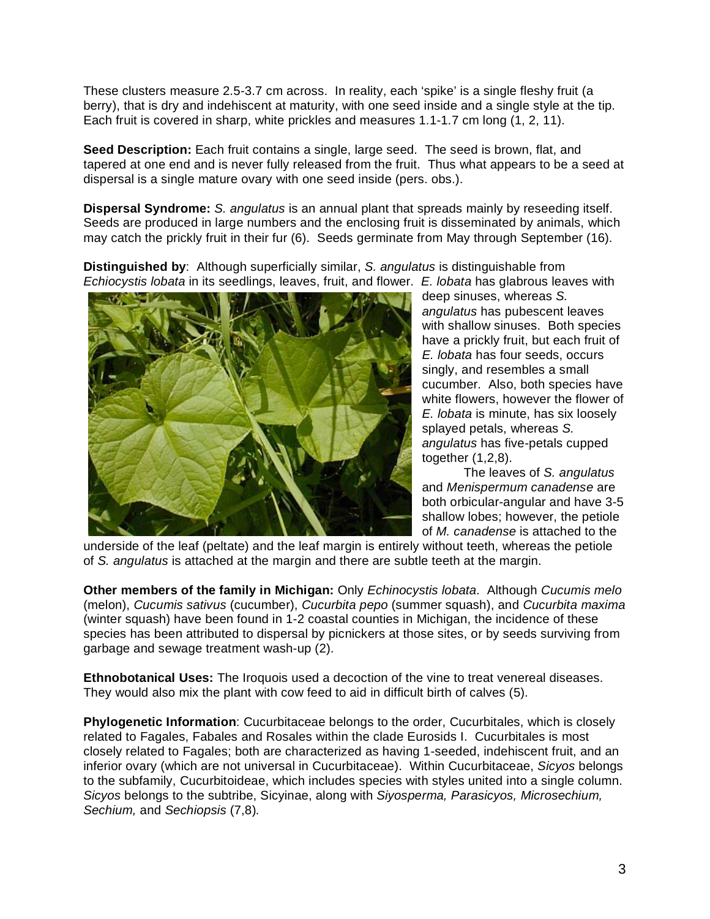These clusters measure 2.5-3.7 cm across. In reality, each 'spike' is a single fleshy fruit (a berry), that is dry and indehiscent at maturity, with one seed inside and a single style at the tip. Each fruit is covered in sharp, white prickles and measures 1.1-1.7 cm long (1, 2, 11).

**Seed Description:** Each fruit contains a single, large seed. The seed is brown, flat, and tapered at one end and is never fully released from the fruit. Thus what appears to be a seed at dispersal is a single mature ovary with one seed inside (pers. obs.).

**Dispersal Syndrome:** *S. angulatus* is an annual plant that spreads mainly by reseeding itself. Seeds are produced in large numbers and the enclosing fruit is disseminated by animals, which may catch the prickly fruit in their fur (6). Seeds germinate from May through September (16).

**Distinguished by**: Although superficially similar, *S. angulatus* is distinguishable from *Echiocystis lobata* in its seedlings, leaves, fruit, and flower. *E. lobata* has glabrous leaves with



deep sinuses, whereas *S. angulatus* has pubescent leaves with shallow sinuses. Both species have a prickly fruit, but each fruit of *E. lobata* has four seeds, occurs singly, and resembles a small cucumber. Also, both species have white flowers, however the flower of *E. lobata* is minute, has six loosely splayed petals, whereas *S. angulatus* has five-petals cupped together (1,2,8).

 The leaves of *S. angulatus* and *Menispermum canadense* are both orbicular-angular and have 3-5 shallow lobes; however, the petiole of *M. canadense* is attached to the

underside of the leaf (peltate) and the leaf margin is entirely without teeth, whereas the petiole of *S. angulatus* is attached at the margin and there are subtle teeth at the margin.

**Other members of the family in Michigan:** Only *Echinocystis lobata*. Although *Cucumis melo*  (melon), *Cucumis sativus* (cucumber), *Cucurbita pepo* (summer squash), and *Cucurbita maxima* (winter squash) have been found in 1-2 coastal counties in Michigan, the incidence of these species has been attributed to dispersal by picnickers at those sites, or by seeds surviving from garbage and sewage treatment wash-up (2).

**Ethnobotanical Uses:** The Iroquois used a decoction of the vine to treat venereal diseases. They would also mix the plant with cow feed to aid in difficult birth of calves (5).

**Phylogenetic Information**: Cucurbitaceae belongs to the order, Cucurbitales, which is closely related to Fagales, Fabales and Rosales within the clade Eurosids I. Cucurbitales is most closely related to Fagales; both are characterized as having 1-seeded, indehiscent fruit, and an inferior ovary (which are not universal in Cucurbitaceae). Within Cucurbitaceae, *Sicyos* belongs to the subfamily, Cucurbitoideae, which includes species with styles united into a single column. *Sicyos* belongs to the subtribe, Sicyinae, along with *Siyosperma, Parasicyos, Microsechium, Sechium,* and *Sechiopsis* (7,8)*.*